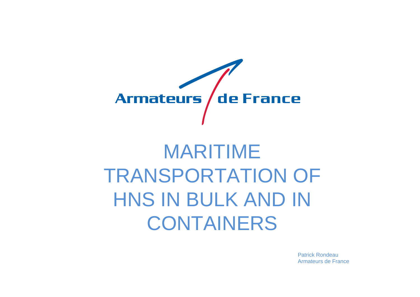

# MARITIME TRANSPORTATION OF HNS IN BULK AND IN CONTAINERS

Patrick RondeauArmateurs de France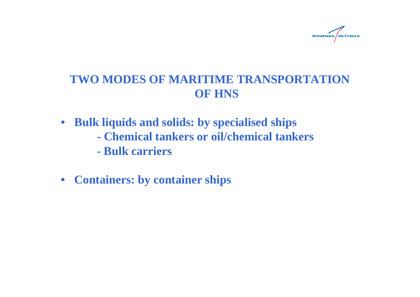

# **TWO MODES OF MARITIME TRANSPORTATION OF HNS**

- **Bulk liquids and solids: by specialised ships**
	- **- Chemical tankers or oil/chemical tankers**
	- **- Bulk carriers**
- **Containers: by container ships**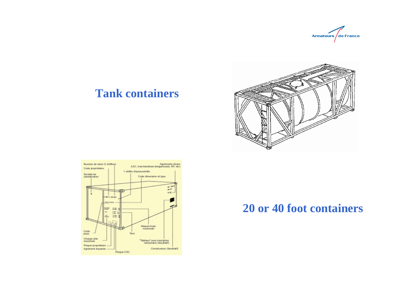

#### **Tank containers**





#### **20 or 40 foot containers**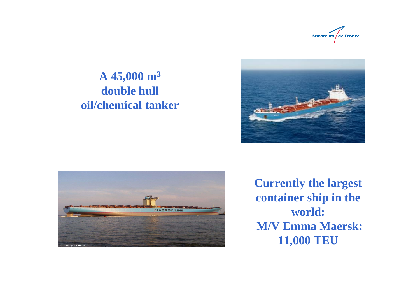

# **A 45,000 m 3 double hull oil/chemical tanker**





**Currently the largest container ship in the world:M/V Emma Maersk: 11,000 TEU**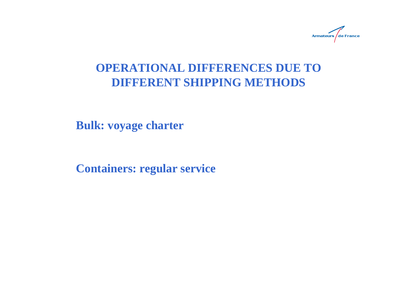

## **OPERATIONAL DIFFERENCES DUE TO DIFFERENT SHIPPING METHODS**

**Bulk: voyage charter**

**Containers: regular service**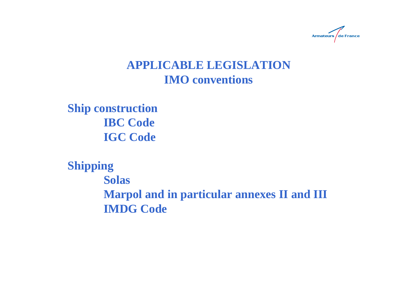

# **APPLICABLE LEGISLATIONIMO conventions**

**Ship construction IBC Code IGC Code**

**Shipping Solas Marpol and in particular annexes II and III IMDG Code**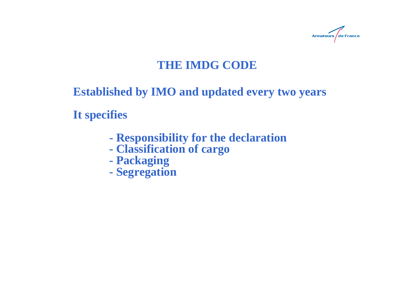

# **THE IMDG CODE**

# **Established by IMO and updated every two years**

**It specifies**

- **- Responsibility for the declaration**
- **- Classification of cargo**
- **- Packaging**
- **- Segregation**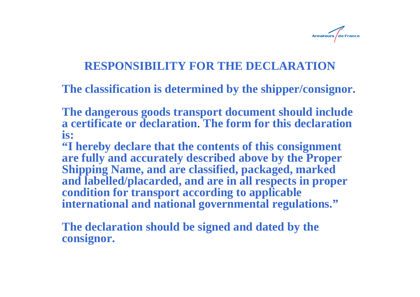

## **RESPONSIBILITY FOR THE DECLARATION**

**The classification is determined by the shipper/consignor.**

**The dangerous goods transport document should include a certificate or declaration**. **The form for this declaration is:**

**"I hereby declare that the contents of this consignment are fully and accurately described above by the Proper Shipping Name, and are classified, packaged, marked and labelled/placarded, and are in all respects in proper condition for transport according to applicable international and national governmental regulations."**

**The declaration should be signed and dated by the consignor.**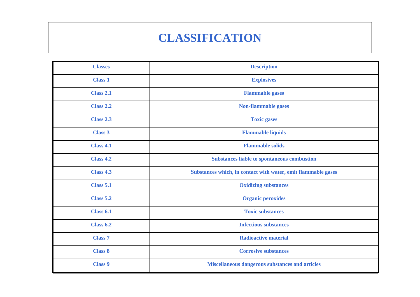# **CLASSIFICATION**

| <b>Classes</b>   | <b>Description</b>                                            |
|------------------|---------------------------------------------------------------|
| <b>Class 1</b>   | <b>Explosives</b>                                             |
| <b>Class 2.1</b> | <b>Flammable gases</b>                                        |
| <b>Class 2.2</b> | Non-flammable gases                                           |
| Class 2.3        | <b>Toxic gases</b>                                            |
| <b>Class 3</b>   | <b>Flammable liquids</b>                                      |
| <b>Class 4.1</b> | <b>Flammable solids</b>                                       |
| <b>Class 4.2</b> | <b>Substances liable to spontaneous combustion</b>            |
| <b>Class 4.3</b> | Substances which, in contact with water, emit flammable gases |
| <b>Class 5.1</b> | <b>Oxidizing substances</b>                                   |
| <b>Class 5.2</b> | <b>Organic peroxides</b>                                      |
| Class 6.1        | <b>Toxic substances</b>                                       |
| <b>Class 6.2</b> | <b>Infectious substances</b>                                  |
| <b>Class 7</b>   | <b>Radioactive material</b>                                   |
| <b>Class 8</b>   | <b>Corrosive substances</b>                                   |
| <b>Class 9</b>   | Miscellaneous dangerous substances and articles               |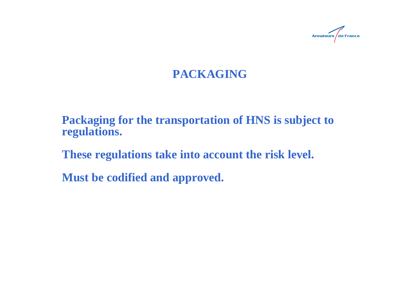

# **PACKAGING**

**Packaging for the transportation of HNS is subject to regulations.**

**These regulations take into account the risk level.** 

**Must be codified and approved.**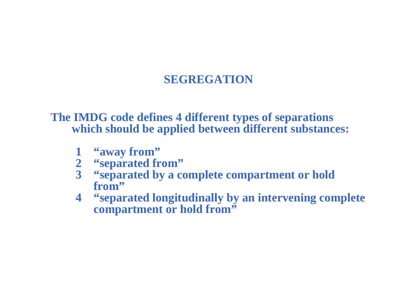# **SEGREGATION**

#### **The IMDG code defines 4 different types of separations which should be applied between different substances:**

- **1 "away from"**
- **2 "separated from"**
- **3 "separated by a complete compartment or hold from"**
- **4 "separated longitudinally by an intervening complete compartment or hold from"**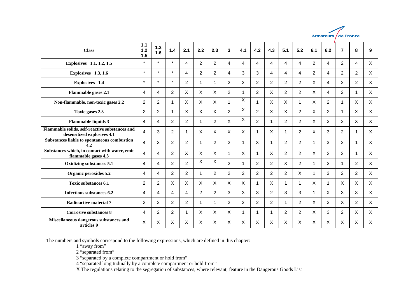

| <b>Class</b>                                                                  | 1.1<br>$1.2$<br>1.5 | $1.3$<br>1.6   | 1.4            | 2.1              | 2.2 | 2.3                     | 3              | 4.1            | 4.2            | 4.3            | 5.1            | 5.2            | 6.1 | 6.2                  | $\overline{7}$ | 8                    | 9            |
|-------------------------------------------------------------------------------|---------------------|----------------|----------------|------------------|-----|-------------------------|----------------|----------------|----------------|----------------|----------------|----------------|-----|----------------------|----------------|----------------------|--------------|
| Explosives 1.1, 1.2, 1.5                                                      | $^{\star}$          | $\star$        | $\star$        | 4                | 2   | $\overline{2}$          | 4              | 4              | 4              | 4              | 4              | 4              | 2   | 4                    | $\overline{2}$ | 4                    | X            |
| Explosives 1.3, 1.6                                                           | $\star$             | $\star$        | $\star$        | 4                | 2   | $\overline{2}$          | 4              | 3              | 3              | 4              | 4              | 4              | 2   | $\overline{4}$       | 2              | $\overline{2}$       | X            |
| Explosives 1.4                                                                | $\star$             | $\star$        | $\star$        | $\overline{2}$   |     | 1                       | $\overline{2}$ | $\overline{2}$ | $\overline{2}$ | $\overline{2}$ | $\overline{2}$ | $\overline{2}$ | X   | 4                    | 2              | $\overline{2}$       | X            |
| <b>Flammable gases 2.1</b>                                                    | 4                   | 4              | $\overline{2}$ | X                | X   | X                       | 2              |                | 2              | X              | $\overline{2}$ | $\overline{2}$ | X   | 4                    | $\overline{2}$ | 1                    | X            |
| Non-flammable, non-toxic gases 2.2                                            | $\overline{2}$      | $\overline{2}$ | $\mathbf 1$    | X                | X   | X                       |                | X              | $\mathbf{1}$   | X              | X              | 1              | X   | 2                    | 1              | X                    | X            |
| Toxic gases 2.3                                                               | 2                   | $\overline{2}$ | $\mathbf 1$    | X                | X   | $\mathsf{X}$            | 2              | X              | $\overline{2}$ | $\mathsf{X}$   | $\mathsf{X}$   | 2              | X   | $\overline{2}$       | 1              | $\mathsf{X}$         | $\mathsf{X}$ |
| <b>Flammable liquids 3</b>                                                    | 4                   | 4              | $\overline{2}$ | $\boldsymbol{2}$ | 1   | $\overline{c}$          | X              | X              | $\overline{2}$ | 1              | $\overline{2}$ | 2              | X   | 3                    | $\overline{2}$ | $\mathsf{X}$         | X            |
| Flammable solids, self-reactive substances and<br>desensitized explosives 4.1 | 4                   | 3              | $\overline{2}$ | 1                | X   | X                       | X              | $\sf X$        | 1              | X              | 1              | $\overline{2}$ | X   | 3                    | $\overline{2}$ |                      | X            |
| Substances liable to spontaneous combustion<br>4.2                            | 4                   | 3              | $\overline{2}$ | $\overline{2}$   | 1   | 2                       | 2              | 1              | X              | 1              | $\overline{2}$ | $\overline{2}$ | -1  | 3                    | 2              | 1                    | X            |
| Substances which, in contact with water, emit<br>flammable gases 4.3          | 4                   | 4              | $\overline{2}$ | X                | X   | X                       |                | X              | 1              | X              | $\overline{2}$ | $\overline{2}$ | X   | $\overline{2}$       | 2              | $\blacktriangleleft$ | $\mathsf{X}$ |
| Oxidizing substances 5.1                                                      | 4                   | 4              | $\overline{2}$ | $\overline{2}$   | X   | $\overline{\mathsf{x}}$ | 2              |                | $\overline{2}$ | $\overline{2}$ | $\mathsf{X}$   | $\overline{2}$ | 1   | 3                    |                | $\overline{2}$       | X            |
| Organic peroxides 5.2                                                         | 4                   | 4              | 2              | $\overline{2}$   | 1   | $\overline{2}$          | 2              | $\overline{2}$ | $\overline{2}$ | $\overline{2}$ | 2              | X              | 1   | 3                    | 2              | $\overline{2}$       | X            |
| <b>Toxic substances 6.1</b>                                                   | $\overline{2}$      | $\overline{2}$ | X              | X                | X   | X                       | X              | X              | $\mathbf 1$    | X              | $\mathbf{1}$   | 1              | X   | $\blacktriangleleft$ | X              | X                    | X            |
| Infectious substances 6.2                                                     | 4                   | 4              | 4              | 4                | 2   | 2                       | 3              | 3              | 3              | $\overline{2}$ | 3              | 3              | 1   | X                    | 3              | 3                    | X            |
| <b>Radioactive material 7</b>                                                 | $\overline{2}$      | $\overline{2}$ | $\overline{2}$ | $\overline{2}$   | 1   | 1                       | $\overline{2}$ | $\overline{2}$ | $\overline{2}$ | $\overline{2}$ | 1              | $\overline{2}$ | X   | 3                    | X              | $\overline{2}$       | X            |
| <b>Corrosive substances 8</b>                                                 | 4                   | $\overline{2}$ | $\overline{2}$ | 1                | X   | $\mathsf{X}$            | X              | 1              | 1              | 1              | 2              | $\overline{2}$ | X   | 3                    | $\overline{2}$ | X                    | X            |
| Miscellaneous dangerous substances and<br>articles 9                          | X                   | X              | X              | X                | X   | X                       | X              | X              | X              | X              | X              | Χ              | X   | X                    | X              | X                    | X            |

The numbers and symbols correspond to the following expressions, which are defined in this chapter:

1 "away from"

2 "separated from"

3 "separated by a complete compartment or hold from"

4 "separated longitudinally by a complete compartment or hold from"

X The regulations relating to the segregation of substances, where relevant, feature in the Dangerous Goods List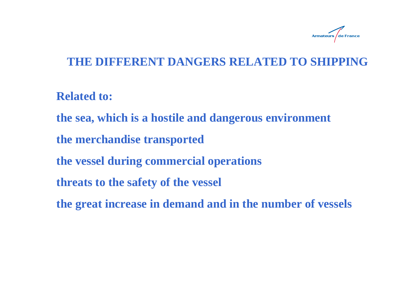

## **THE DIFFERENT DANGERS RELATED TO SHIPPING**

**Related to:**

**the sea, which is a hostile and dangerous environment**

**the merchandise transported**

**the vessel during commercial operations**

**threats to the safety of the vessel**

**the great increase in demand and in the number of vessels**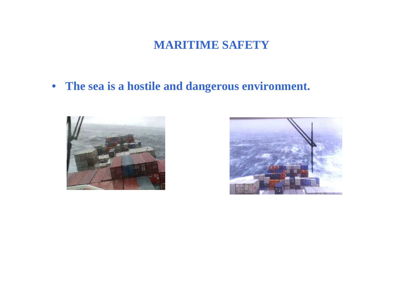# **MARITIME SAFETY**

• **The sea is a hostile and dangerous environment.**



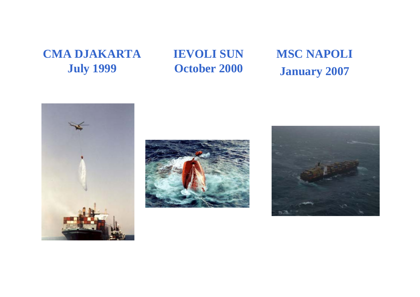# **CMA DJAKARTA July 1999**

# **IEVOLI SUN October 2000**

# **MSC NAPOLI January 2007**





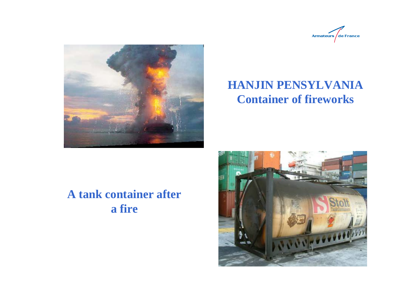



# **HANJIN PENSYLVANIA Container of fireworks**

# **A tank container after a fire**

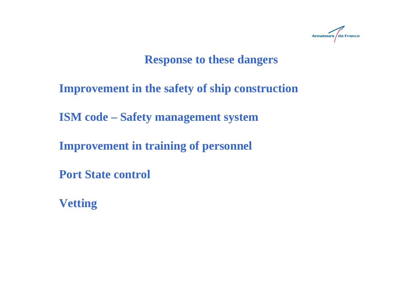

# **Response to these dangers**

**Improvement in the safety of ship construction**

**ISM code – Safety management system**

**Improvement in training of personnel**

**Port State control**

**Vetting**